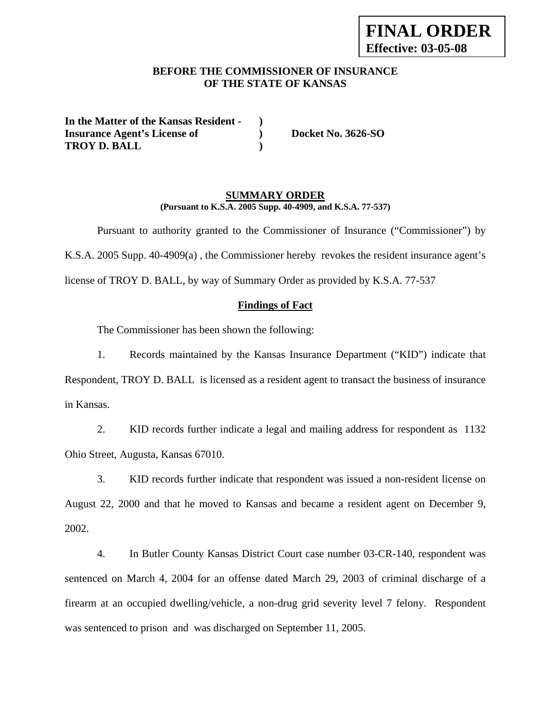## **BEFORE THE COMMISSIONER OF INSURANCE OF THE STATE OF KANSAS**

**In the Matter of the Kansas Resident - ) Insurance Agent's License of ) Docket No. 3626-SO TROY D. BALL )** 

## **SUMMARY ORDER (Pursuant to K.S.A. 2005 Supp. 40-4909, and K.S.A. 77-537)**

 Pursuant to authority granted to the Commissioner of Insurance ("Commissioner") by K.S.A. 2005 Supp. 40-4909(a) , the Commissioner hereby revokes the resident insurance agent's license of TROY D. BALL, by way of Summary Order as provided by K.S.A. 77-537

## **Findings of Fact**

The Commissioner has been shown the following:

1. Records maintained by the Kansas Insurance Department ("KID") indicate that Respondent, TROY D. BALL is licensed as a resident agent to transact the business of insurance in Kansas.

2. KID records further indicate a legal and mailing address for respondent as 1132 Ohio Street, Augusta, Kansas 67010.

3. KID records further indicate that respondent was issued a non-resident license on August 22, 2000 and that he moved to Kansas and became a resident agent on December 9, 2002.

4. In Butler County Kansas District Court case number 03-CR-140, respondent was sentenced on March 4, 2004 for an offense dated March 29, 2003 of criminal discharge of a firearm at an occupied dwelling/vehicle, a non-drug grid severity level 7 felony. Respondent was sentenced to prison and was discharged on September 11, 2005.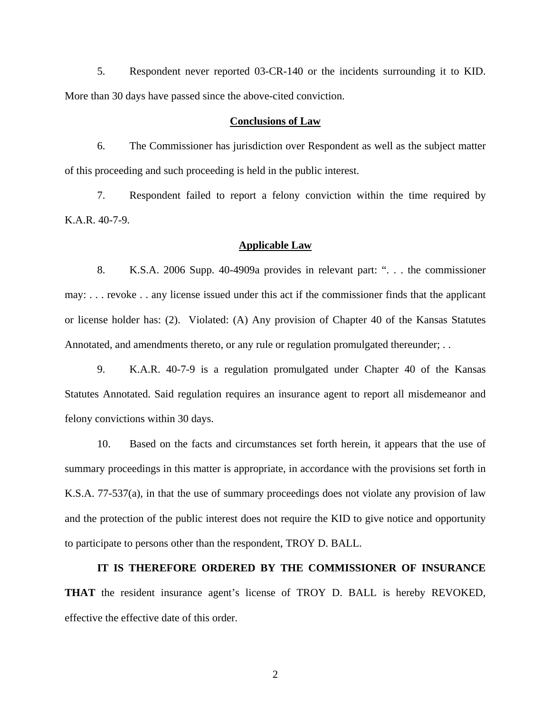5. Respondent never reported 03-CR-140 or the incidents surrounding it to KID. More than 30 days have passed since the above-cited conviction.

#### **Conclusions of Law**

6. The Commissioner has jurisdiction over Respondent as well as the subject matter of this proceeding and such proceeding is held in the public interest.

7. Respondent failed to report a felony conviction within the time required by K.A.R. 40-7-9.

### **Applicable Law**

8. K.S.A. 2006 Supp. 40-4909a provides in relevant part: ". . . the commissioner may: . . . revoke . . any license issued under this act if the commissioner finds that the applicant or license holder has: (2). Violated: (A) Any provision of Chapter 40 of the Kansas Statutes Annotated, and amendments thereto, or any rule or regulation promulgated thereunder; . .

9. K.A.R. 40-7-9 is a regulation promulgated under Chapter 40 of the Kansas Statutes Annotated. Said regulation requires an insurance agent to report all misdemeanor and felony convictions within 30 days.

10. Based on the facts and circumstances set forth herein, it appears that the use of summary proceedings in this matter is appropriate, in accordance with the provisions set forth in K.S.A. 77-537(a), in that the use of summary proceedings does not violate any provision of law and the protection of the public interest does not require the KID to give notice and opportunity to participate to persons other than the respondent, TROY D. BALL.

**IT IS THEREFORE ORDERED BY THE COMMISSIONER OF INSURANCE THAT** the resident insurance agent's license of TROY D. BALL is hereby REVOKED, effective the effective date of this order.

2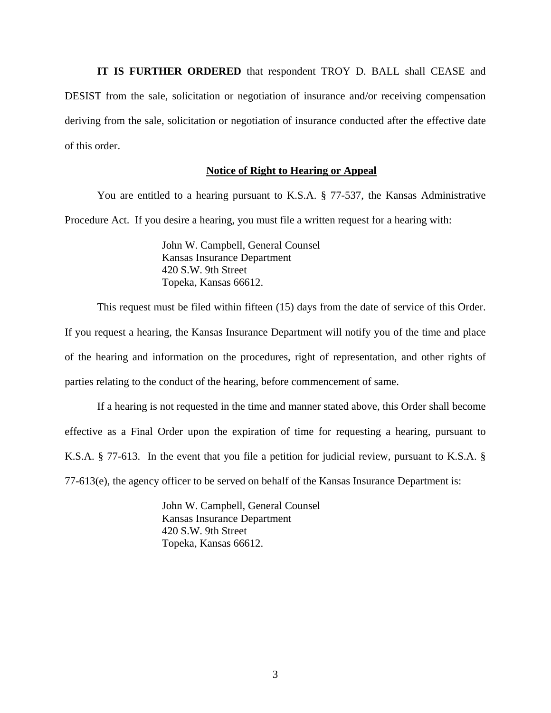**IT IS FURTHER ORDERED** that respondent TROY D. BALL shall CEASE and DESIST from the sale, solicitation or negotiation of insurance and/or receiving compensation deriving from the sale, solicitation or negotiation of insurance conducted after the effective date of this order.

#### **Notice of Right to Hearing or Appeal**

You are entitled to a hearing pursuant to K.S.A. § 77-537, the Kansas Administrative Procedure Act. If you desire a hearing, you must file a written request for a hearing with:

> John W. Campbell, General Counsel Kansas Insurance Department 420 S.W. 9th Street Topeka, Kansas 66612.

This request must be filed within fifteen (15) days from the date of service of this Order.

If you request a hearing, the Kansas Insurance Department will notify you of the time and place of the hearing and information on the procedures, right of representation, and other rights of parties relating to the conduct of the hearing, before commencement of same.

If a hearing is not requested in the time and manner stated above, this Order shall become effective as a Final Order upon the expiration of time for requesting a hearing, pursuant to K.S.A. § 77-613. In the event that you file a petition for judicial review, pursuant to K.S.A. § 77-613(e), the agency officer to be served on behalf of the Kansas Insurance Department is:

> John W. Campbell, General Counsel Kansas Insurance Department 420 S.W. 9th Street Topeka, Kansas 66612.